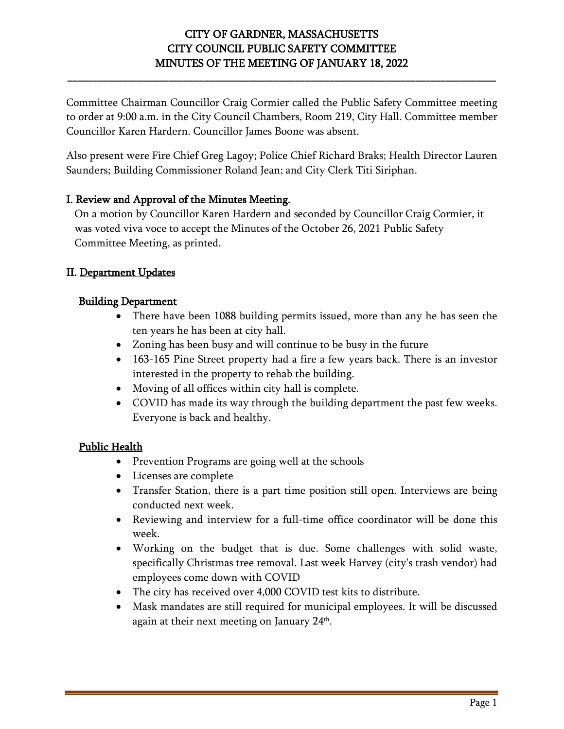**\_\_\_\_\_\_\_\_\_\_\_\_\_\_\_\_\_\_\_\_\_\_\_\_\_\_\_\_\_\_\_\_\_\_\_\_\_\_\_\_\_\_\_\_\_\_\_\_\_\_\_\_\_\_\_\_\_\_\_\_\_\_\_\_\_\_\_\_\_\_\_\_\_\_\_\_\_\_\_\_\_\_\_\_\_**

Committee Chairman Councillor Craig Cormier called the Public Safety Committee meeting to order at 9:00 a.m. in the City Council Chambers, Room 219, City Hall. Committee member Councillor Karen Hardern. Councillor James Boone was absent.

Also present were Fire Chief Greg Lagoy; Police Chief Richard Braks; Health Director Lauren Saunders; Building Commissioner Roland Jean; and City Clerk Titi Siriphan.

#### I. Review and Approval of the Minutes Meeting.

On a motion by Councillor Karen Hardern and seconded by Councillor Craig Cormier, it was voted viva voce to accept the Minutes of the October 26, 2021 Public Safety Committee Meeting, as printed.

#### II. Department Updates

#### Building Department

- There have been 1088 building permits issued, more than any he has seen the ten years he has been at city hall.
- Zoning has been busy and will continue to be busy in the future
- 163-165 Pine Street property had a fire a few years back. There is an investor interested in the property to rehab the building.
- Moving of all offices within city hall is complete.
- COVID has made its way through the building department the past few weeks. Everyone is back and healthy.

#### Public Health

- Prevention Programs are going well at the schools
- Licenses are complete
- Transfer Station, there is a part time position still open. Interviews are being conducted next week.
- Reviewing and interview for a full-time office coordinator will be done this week.
- Working on the budget that is due. Some challenges with solid waste, specifically Christmas tree removal. Last week Harvey (city's trash vendor) had employees come down with COVID
- The city has received over 4,000 COVID test kits to distribute.
- Mask mandates are still required for municipal employees. It will be discussed again at their next meeting on January 24<sup>th</sup>.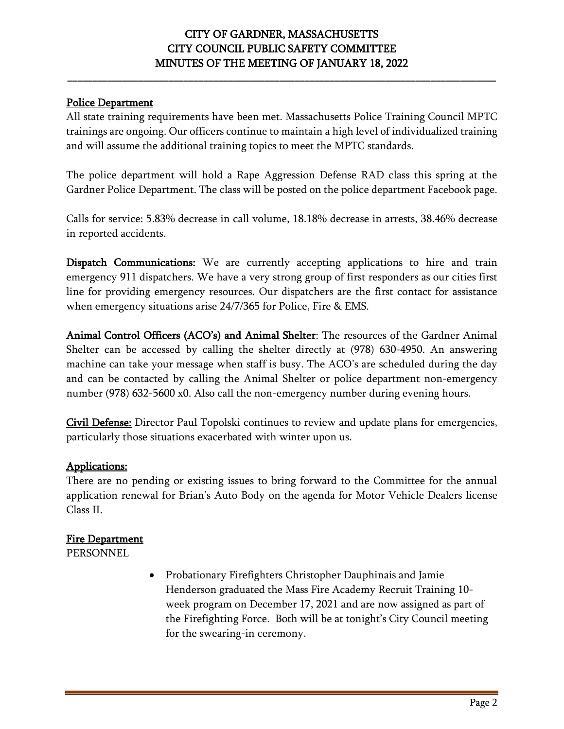**\_\_\_\_\_\_\_\_\_\_\_\_\_\_\_\_\_\_\_\_\_\_\_\_\_\_\_\_\_\_\_\_\_\_\_\_\_\_\_\_\_\_\_\_\_\_\_\_\_\_\_\_\_\_\_\_\_\_\_\_\_\_\_\_\_\_\_\_\_\_\_\_\_\_\_\_\_\_\_\_\_\_\_\_\_**

#### Police Department

All state training requirements have been met. Massachusetts Police Training Council MPTC trainings are ongoing. Our officers continue to maintain a high level of individualized training and will assume the additional training topics to meet the MPTC standards.

The police department will hold a Rape Aggression Defense RAD class this spring at the Gardner Police Department. The class will be posted on the police department Facebook page.

Calls for service: 5.83% decrease in call volume, 18.18% decrease in arrests, 38.46% decrease in reported accidents.

**Dispatch Communications:** We are currently accepting applications to hire and train emergency 911 dispatchers. We have a very strong group of first responders as our cities first line for providing emergency resources. Our dispatchers are the first contact for assistance when emergency situations arise 24/7/365 for Police, Fire & EMS.

Animal Control Officers (ACO's) and Animal Shelter: The resources of the Gardner Animal Shelter can be accessed by calling the shelter directly at (978) 630-4950. An answering machine can take your message when staff is busy. The ACO's are scheduled during the day and can be contacted by calling the Animal Shelter or police department non-emergency number (978) 632-5600 x0. Also call the non-emergency number during evening hours.

Civil Defense: Director Paul Topolski continues to review and update plans for emergencies, particularly those situations exacerbated with winter upon us.

#### Applications:

There are no pending or existing issues to bring forward to the Committee for the annual application renewal for Brian's Auto Body on the agenda for Motor Vehicle Dealers license Class II.

#### Fire Department

PERSONNEL

• Probationary Firefighters Christopher Dauphinais and Jamie Henderson graduated the Mass Fire Academy Recruit Training 10 week program on December 17, 2021 and are now assigned as part of the Firefighting Force. Both will be at tonight's City Council meeting for the swearing-in ceremony.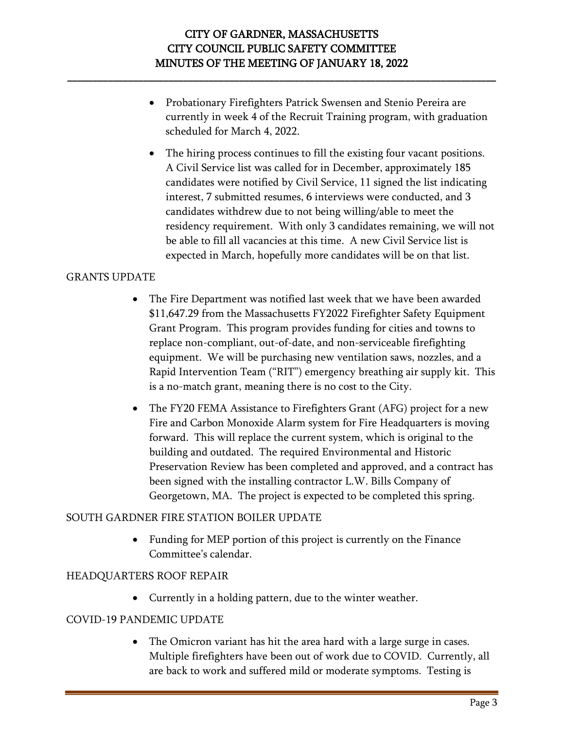**\_\_\_\_\_\_\_\_\_\_\_\_\_\_\_\_\_\_\_\_\_\_\_\_\_\_\_\_\_\_\_\_\_\_\_\_\_\_\_\_\_\_\_\_\_\_\_\_\_\_\_\_\_\_\_\_\_\_\_\_\_\_\_\_\_\_\_\_\_\_\_\_\_\_\_\_\_\_\_\_\_\_\_\_\_**

- Probationary Firefighters Patrick Swensen and Stenio Pereira are currently in week 4 of the Recruit Training program, with graduation scheduled for March 4, 2022.
- The hiring process continues to fill the existing four vacant positions. A Civil Service list was called for in December, approximately 185 candidates were notified by Civil Service, 11 signed the list indicating interest, 7 submitted resumes, 6 interviews were conducted, and 3 candidates withdrew due to not being willing/able to meet the residency requirement. With only 3 candidates remaining, we will not be able to fill all vacancies at this time. A new Civil Service list is expected in March, hopefully more candidates will be on that list.

#### GRANTS UPDATE

- The Fire Department was notified last week that we have been awarded \$11,647.29 from the Massachusetts FY2022 Firefighter Safety Equipment Grant Program. This program provides funding for cities and towns to replace non-compliant, out-of-date, and non-serviceable firefighting equipment. We will be purchasing new ventilation saws, nozzles, and a Rapid Intervention Team ("RIT") emergency breathing air supply kit. This is a no-match grant, meaning there is no cost to the City.
- The FY20 FEMA Assistance to Firefighters Grant (AFG) project for a new Fire and Carbon Monoxide Alarm system for Fire Headquarters is moving forward. This will replace the current system, which is original to the building and outdated. The required Environmental and Historic Preservation Review has been completed and approved, and a contract has been signed with the installing contractor L.W. Bills Company of Georgetown, MA. The project is expected to be completed this spring.

#### SOUTH GARDNER FIRE STATION BOILER UPDATE

• Funding for MEP portion of this project is currently on the Finance Committee's calendar.

#### HEADQUARTERS ROOF REPAIR

• Currently in a holding pattern, due to the winter weather.

#### COVID-19 PANDEMIC UPDATE

• The Omicron variant has hit the area hard with a large surge in cases. Multiple firefighters have been out of work due to COVID. Currently, all are back to work and suffered mild or moderate symptoms. Testing is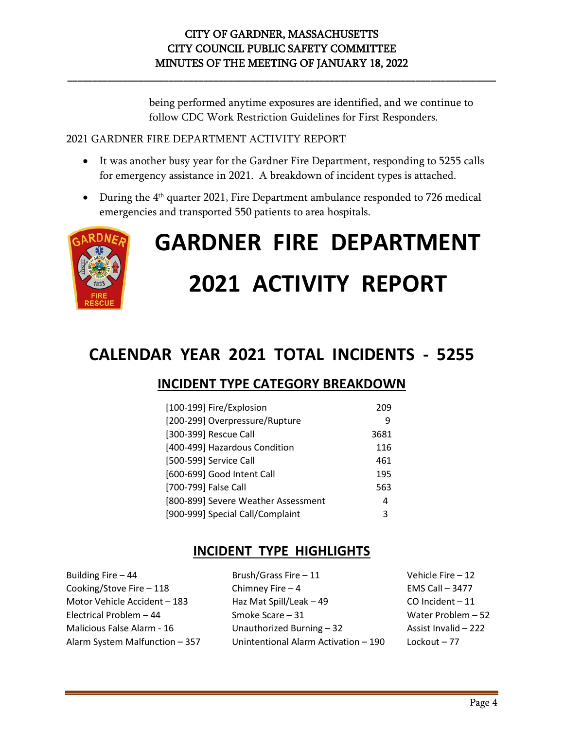**\_\_\_\_\_\_\_\_\_\_\_\_\_\_\_\_\_\_\_\_\_\_\_\_\_\_\_\_\_\_\_\_\_\_\_\_\_\_\_\_\_\_\_\_\_\_\_\_\_\_\_\_\_\_\_\_\_\_\_\_\_\_\_\_\_\_\_\_\_\_\_\_\_\_\_\_\_\_\_\_\_\_\_\_\_**

being performed anytime exposures are identified, and we continue to follow CDC Work Restriction Guidelines for First Responders.

#### 2021 GARDNER FIRE DEPARTMENT ACTIVITY REPORT

- It was another busy year for the Gardner Fire Department, responding to 5255 calls for emergency assistance in 2021. A breakdown of incident types is attached.
- During the 4<sup>th</sup> quarter 2021, Fire Department ambulance responded to 726 medical emergencies and transported 550 patients to area hospitals.



# **GARDNER FIRE DEPARTMENT 2021 ACTIVITY REPORT**

# **CALENDAR YEAR 2021 TOTAL INCIDENTS - 5255**

## **INCIDENT TYPE CATEGORY BREAKDOWN**

| [100-199] Fire/Explosion            | 209  |
|-------------------------------------|------|
| [200-299] Overpressure/Rupture      | 9    |
| [300-399] Rescue Call               | 3681 |
| [400-499] Hazardous Condition       | 116  |
| [500-599] Service Call              | 461  |
| [600-699] Good Intent Call          | 195  |
| [700-799] False Call                | 563  |
| [800-899] Severe Weather Assessment | 4    |
| [900-999] Special Call/Complaint    | 3    |

## **INCIDENT TYPE HIGHLIGHTS**

| Building Fire - 44             | Brush/Grass Fire - 11                | Vehicle Fire $-12$   |
|--------------------------------|--------------------------------------|----------------------|
| Cooking/Stove Fire - 118       | Chimney Fire $-4$                    | EMS Call $-3477$     |
| Motor Vehicle Accident - 183   | Haz Mat Spill/Leak - 49              | CO Incident - 11     |
| Electrical Problem - 44        | Smoke Scare - 31                     | Water Problem - 52   |
| Malicious False Alarm - 16     | Unauthorized Burning - 32            | Assist Invalid - 222 |
| Alarm System Malfunction - 357 | Unintentional Alarm Activation - 190 | Lockout - 77         |
|                                |                                      |                      |